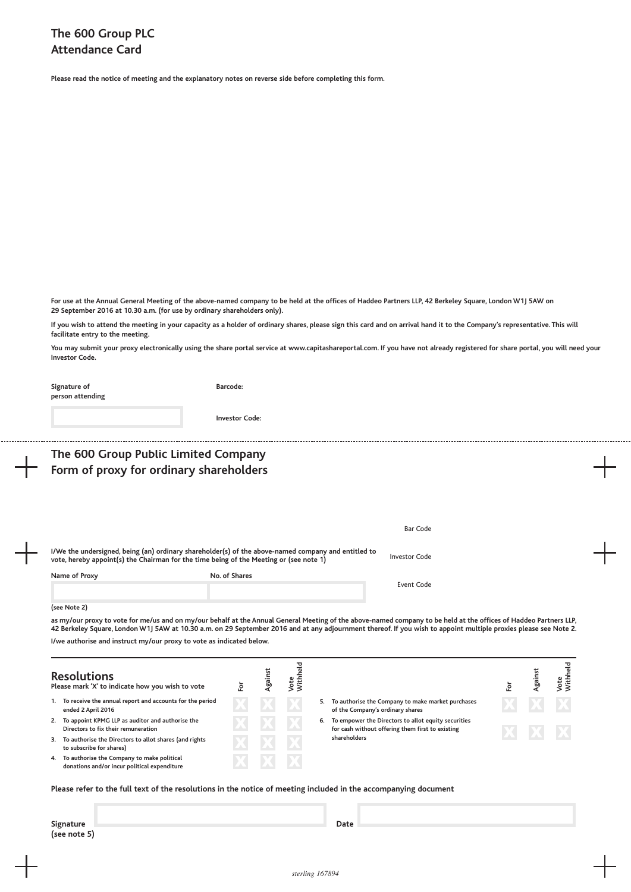**Please read the notice of meeting and the explanatory notes on reverse side before completing this form.**

For use at the Annual General Meeting of the above-named company to be held at the offices of Haddeo Partners LLP, 42 Berkeley Square, London W1J 5AW on **29 September 2016 at 10.30 a.m. (for use by ordinary shareholders only).**

If you wish to attend the meeting in your capacity as a holder of ordinary shares, please sign this card and on arrival hand it to the Company's representative. This will **facilitate entry to the meeting.**

You may submit your proxy electronically using the share portal service at www.capitashareportal.com. If you have not already registered for share portal, you will need your **Investor Code.**

| Signature of<br>person attending                                                                                                                                                                                                                                                                                                      | Barcode:                                                                                            |                      |  |  |  |  |
|---------------------------------------------------------------------------------------------------------------------------------------------------------------------------------------------------------------------------------------------------------------------------------------------------------------------------------------|-----------------------------------------------------------------------------------------------------|----------------------|--|--|--|--|
|                                                                                                                                                                                                                                                                                                                                       | <b>Investor Code:</b>                                                                               |                      |  |  |  |  |
| The 600 Group Public Limited Company<br>Form of proxy for ordinary shareholders                                                                                                                                                                                                                                                       |                                                                                                     |                      |  |  |  |  |
|                                                                                                                                                                                                                                                                                                                                       |                                                                                                     |                      |  |  |  |  |
|                                                                                                                                                                                                                                                                                                                                       |                                                                                                     | <b>Bar Code</b>      |  |  |  |  |
| vote, hereby appoint(s) the Chairman for the time being of the Meeting or (see note 1)                                                                                                                                                                                                                                                | I/We the undersigned, being (an) ordinary shareholder(s) of the above-named company and entitled to | <b>Investor Code</b> |  |  |  |  |
| Name of Proxy                                                                                                                                                                                                                                                                                                                         | No. of Shares                                                                                       | Event Code           |  |  |  |  |
| (see Note 2)                                                                                                                                                                                                                                                                                                                          |                                                                                                     |                      |  |  |  |  |
| as my/our proxy to vote for me/us and on my/our behalf at the Annual General Meeting of the above-named company to be held at the offices of Haddeo Partners LLP,<br>42 Berkeley Square, London W1J 5AW at 10.30 a.m. on 29 September 2016 and at any adjournment thereof. If you wish to appoint multiple proxies please see Note 2. |                                                                                                     |                      |  |  |  |  |
| I/we authorise and instruct my/our proxy to vote as indicated below.                                                                                                                                                                                                                                                                  |                                                                                                     |                      |  |  |  |  |

|    | <b>Resolutions</b><br>Please mark 'X' to indicate how you wish to vote                     |  | ٩ŧ |    |                                                                                                         |  |  |
|----|--------------------------------------------------------------------------------------------|--|----|----|---------------------------------------------------------------------------------------------------------|--|--|
|    | 1. To receive the annual report and accounts for the period<br>ended 2 April 2016          |  |    | 5. | To authorise the Company to make market purchases<br>of the Company's ordinary shares                   |  |  |
| 2. | To appoint KPMG LLP as auditor and authorise the<br>Directors to fix their remuneration    |  |    | 6. | To empower the Directors to allot equity securities<br>for cash without offering them first to existing |  |  |
|    | 3. To authorise the Directors to allot shares (and rights<br>to subscribe for shares)      |  |    |    | shareholders                                                                                            |  |  |
| 4. | To authorise the Company to make political<br>donations and/or incur political expenditure |  |    |    |                                                                                                         |  |  |

Please refer to the full text of the resolutions in the notice of meeting included in the accompanying document

| Signature    | Date |
|--------------|------|
|              |      |
| (see note 5) |      |